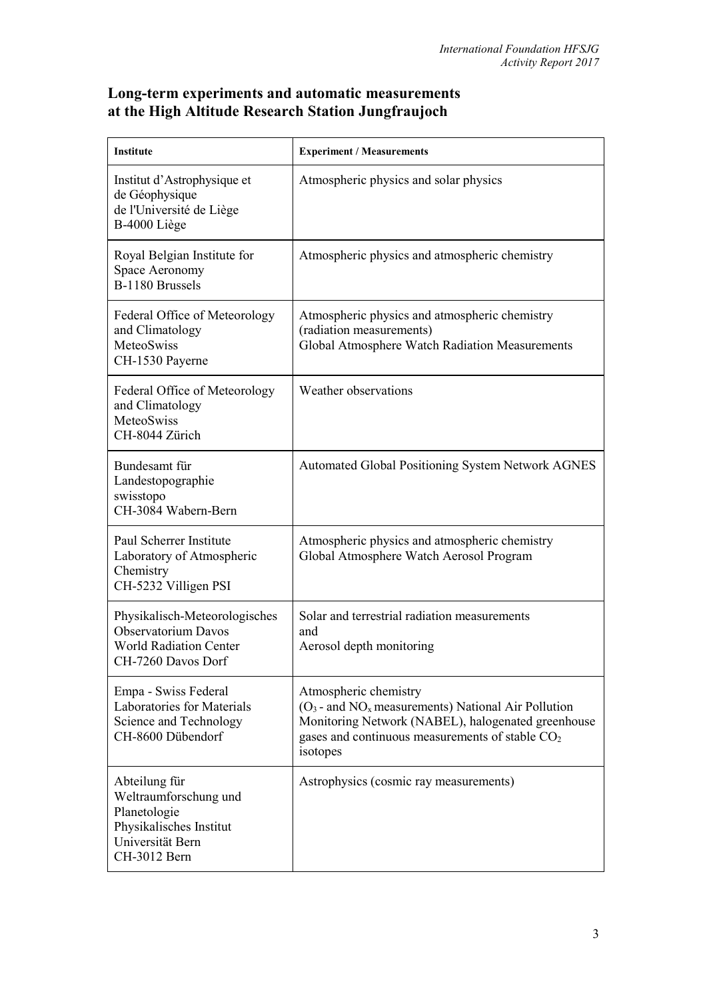## **Long-term experiments and automatic measurements at the High Altitude Research Station Jungfraujoch**

| Institute                                                                                                             | <b>Experiment / Measurements</b>                                                                                                                                                                                  |
|-----------------------------------------------------------------------------------------------------------------------|-------------------------------------------------------------------------------------------------------------------------------------------------------------------------------------------------------------------|
| Institut d'Astrophysique et<br>de Géophysique<br>de l'Université de Liège<br>B-4000 Liège                             | Atmospheric physics and solar physics                                                                                                                                                                             |
| Royal Belgian Institute for<br>Space Aeronomy<br>B-1180 Brussels                                                      | Atmospheric physics and atmospheric chemistry                                                                                                                                                                     |
| Federal Office of Meteorology<br>and Climatology<br>MeteoSwiss<br>CH-1530 Payerne                                     | Atmospheric physics and atmospheric chemistry<br>(radiation measurements)<br>Global Atmosphere Watch Radiation Measurements                                                                                       |
| Federal Office of Meteorology<br>and Climatology<br><b>MeteoSwiss</b><br>CH-8044 Zürich                               | Weather observations                                                                                                                                                                                              |
| Bundesamt für<br>Landestopographie<br>swisstopo<br>CH-3084 Wabern-Bern                                                | <b>Automated Global Positioning System Network AGNES</b>                                                                                                                                                          |
| Paul Scherrer Institute<br>Laboratory of Atmospheric<br>Chemistry<br>CH-5232 Villigen PSI                             | Atmospheric physics and atmospheric chemistry<br>Global Atmosphere Watch Aerosol Program                                                                                                                          |
| Physikalisch-Meteorologisches<br><b>Observatorium Davos</b><br><b>World Radiation Center</b><br>CH-7260 Davos Dorf    | Solar and terrestrial radiation measurements<br>and<br>Aerosol depth monitoring                                                                                                                                   |
| Empa - Swiss Federal<br>Laboratories for Materials<br>Science and Technology<br>CH-8600 Dübendorf                     | Atmospheric chemistry<br>$(O_3$ - and NO <sub>x</sub> measurements) National Air Pollution<br>Monitoring Network (NABEL), halogenated greenhouse<br>gases and continuous measurements of stable $CO2$<br>isotopes |
| Abteilung für<br>Weltraumforschung und<br>Planetologie<br>Physikalisches Institut<br>Universität Bern<br>CH-3012 Bern | Astrophysics (cosmic ray measurements)                                                                                                                                                                            |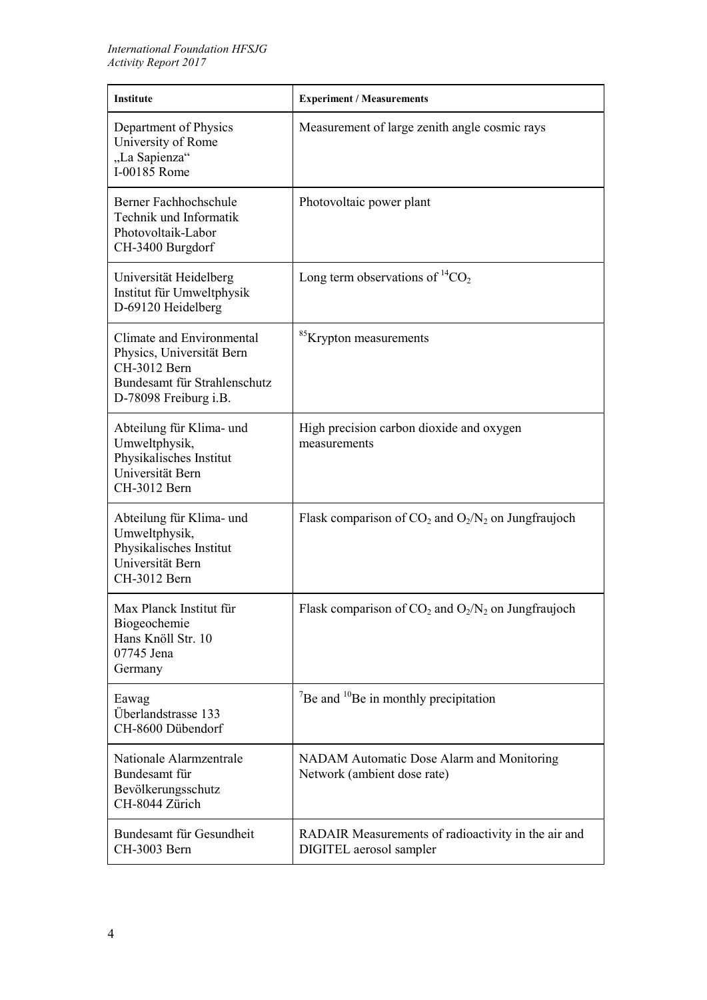| <b>Institute</b>                                                                                                                | <b>Experiment / Measurements</b>                                               |
|---------------------------------------------------------------------------------------------------------------------------------|--------------------------------------------------------------------------------|
| Department of Physics<br>University of Rome<br>"La Sapienza"<br>I-00185 Rome                                                    | Measurement of large zenith angle cosmic rays                                  |
| Berner Fachhochschule<br>Technik und Informatik<br>Photovoltaik-Labor<br>CH-3400 Burgdorf                                       | Photovoltaic power plant                                                       |
| Universität Heidelberg<br>Institut für Umweltphysik<br>D-69120 Heidelberg                                                       | Long term observations of ${}^{14}CO_2$                                        |
| Climate and Environmental<br>Physics, Universität Bern<br>CH-3012 Bern<br>Bundesamt für Strahlenschutz<br>D-78098 Freiburg i.B. | <sup>85</sup> Krypton measurements                                             |
| Abteilung für Klima- und<br>Umweltphysik,<br>Physikalisches Institut<br>Universität Bern<br>CH-3012 Bern                        | High precision carbon dioxide and oxygen<br>measurements                       |
| Abteilung für Klima- und<br>Umweltphysik,<br>Physikalisches Institut<br>Universität Bern<br>CH-3012 Bern                        | Flask comparison of $CO_2$ and $O_2/N_2$ on Jungfraujoch                       |
| Max Planck Institut für<br>Biogeochemie<br>Hans Knöll Str. 10<br>07745 Jena<br>Germany                                          | Flask comparison of $CO_2$ and $O_2/N_2$ on Jungfraujoch                       |
| Eawag<br>Überlandstrasse 133<br>CH-8600 Dübendorf                                                                               | $\mathrm{^{7}Be}$ and $\mathrm{^{10}Be}$ in monthly precipitation              |
| Nationale Alarmzentrale<br>Bundesamt für<br>Bevölkerungsschutz<br>CH-8044 Zürich                                                | NADAM Automatic Dose Alarm and Monitoring<br>Network (ambient dose rate)       |
| Bundesamt für Gesundheit<br>CH-3003 Bern                                                                                        | RADAIR Measurements of radioactivity in the air and<br>DIGITEL aerosol sampler |